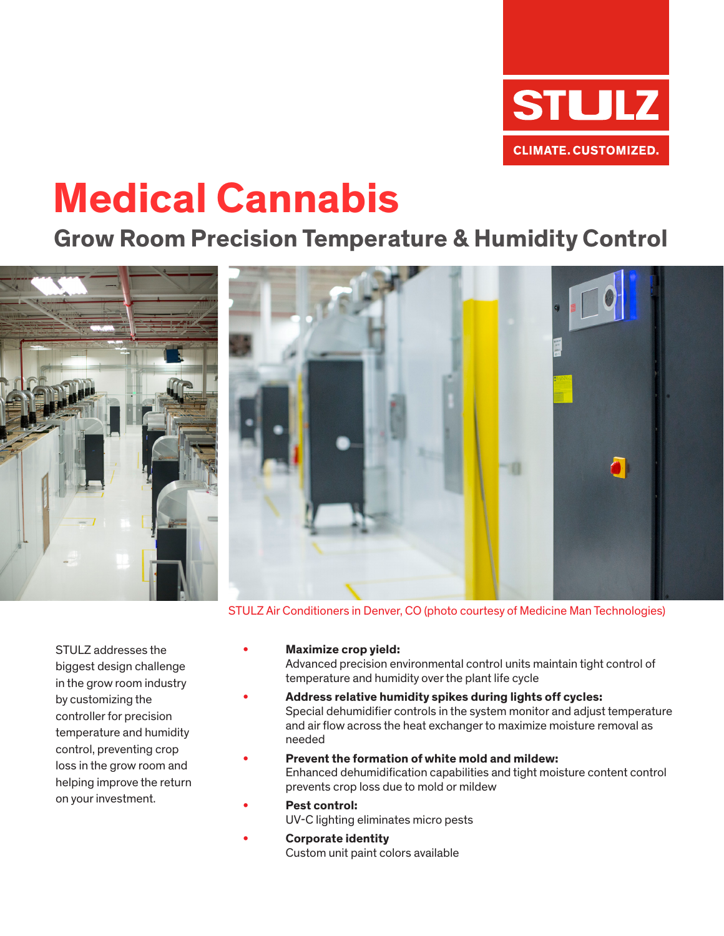

# **Medical Cannabis**

### **Grow Room Precision Temperature & Humidity Control**



STULZ Air Conditioners in Denver, CO (photo courtesy of Medicine Man Technologies)

STULZ addresses the biggest design challenge in the grow room industry by customizing the controller for precision temperature and humidity control, preventing crop loss in the grow room and helping improve the return on your investment.

**• Maximize crop yield:** 

Advanced precision environmental control units maintain tight control of temperature and humidity over the plant life cycle

- **• Address relative humidity spikes during lights off cycles:** Special dehumidifier controls in the system monitor and adjust temperature and air flow across the heat exchanger to maximize moisture removal as needed
- **• Prevent the formation of white mold and mildew:** Enhanced dehumidification capabilities and tight moisture content control prevents crop loss due to mold or mildew
- **• Pest control:** UV-C lighting eliminates micro pests
- **• Corporate identity** Custom unit paint colors available